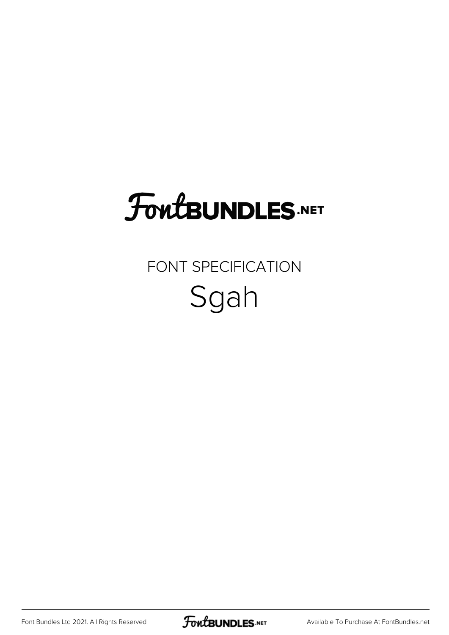### **FoutBUNDLES.NET**

#### FONT SPECIFICATION Sgah

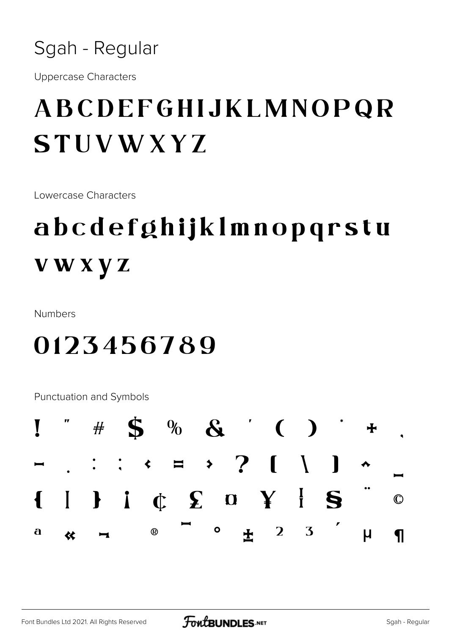

**Uppercase Characters** 

#### ABCDEFGHIJKLMNOPQR **STUVWXYZ**

Lowercase Characters

#### abcdefghijklmnopqrstu **vwxyz**

**Numbers** 

#### 0123456789

Punctuation and Symbols

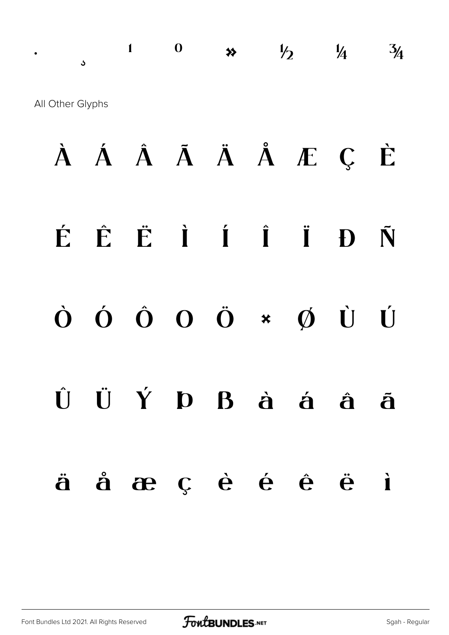$\frac{1}{2}$  0  $\frac{1}{2}$   $\frac{1}{4}$   $\frac{3}{4}$ All Other Glyphs

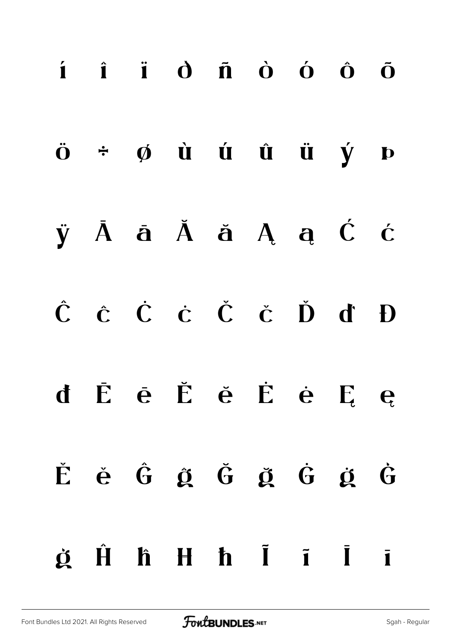|  | $\mathbf{i}$ $\mathbf{i}$ $\mathbf{j}$ $\mathbf{d}$ $\mathbf{\bar{n}}$ $\mathbf{\dot{o}}$ $\mathbf{\dot{o}}$ $\mathbf{\dot{o}}$ $\mathbf{\dot{o}}$ |  |  |  |
|--|----------------------------------------------------------------------------------------------------------------------------------------------------|--|--|--|
|  | $\ddot{\mathbf{o}}$ $\div$ $\phi$ $\dot{\mathbf{u}}$ $\dot{\mathbf{u}}$ $\ddot{\mathbf{u}}$ $\ddot{\mathbf{u}}$ $\dot{\mathbf{y}}$ $\mathbf{p}$    |  |  |  |
|  | ÿĀāĂă ĄąĆć                                                                                                                                         |  |  |  |
|  | Ĉ Ĉ Ċ Ċ Č Č Ď đ Đ                                                                                                                                  |  |  |  |
|  | d Ē ē Ĕ ĕ Ė ė Ę ę                                                                                                                                  |  |  |  |
|  | Ě ě Ĝ ĝ Ğ ğ Ġ ġ Ġ                                                                                                                                  |  |  |  |
|  | $\dot{\alpha}$ $\dot{H}$ $\dot{H}$ $\dot{H}$ $\ddot{I}$ $\ddot{I}$ $\ddot{I}$                                                                      |  |  |  |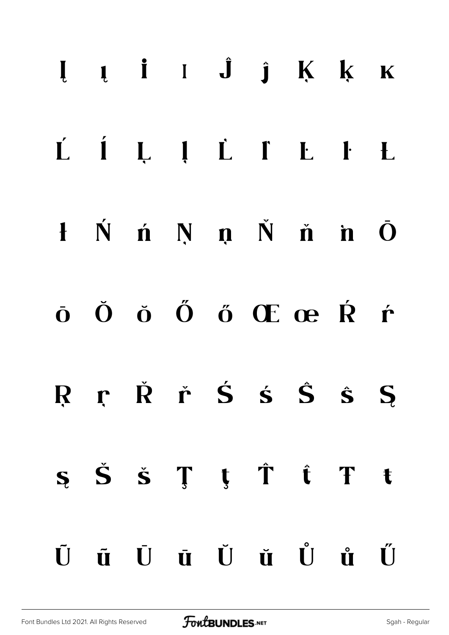# Į Į İ I Ĵ ĵ Ķ ķ ĸ L Í L I L I L I L  $1 \times n \times n \times n \times n \times n$  $\dot{\mathbf{o}}$   $\dot{\mathbf{O}}$   $\dot{\mathbf{o}}$   $\ddot{\mathbf{O}}$   $\ddot{\mathbf{o}}$   $\mathbf{C}$   $\mathbf{C}$   $\dot{\mathbf{R}}$   $\dot{\mathbf{r}}$ R r Ř ř Ś ś Ś ŝ S  $S \simeq S \simeq T \tightharpoonup \tightharpoonup \tightharpoonup \tightharpoonup T \tightharpoonup t$ Ūū Ūū Ŭ ŭ Ů ů Ű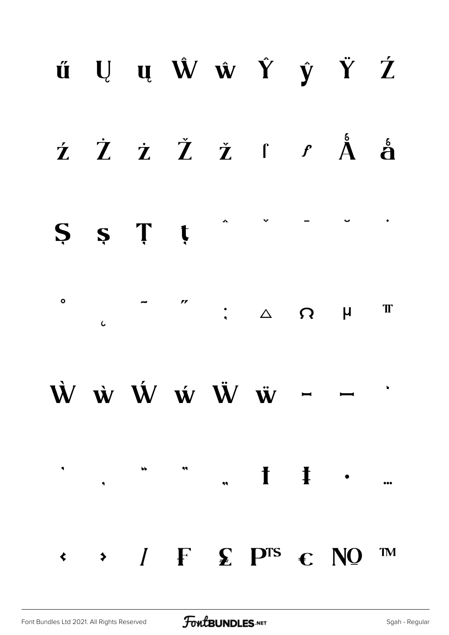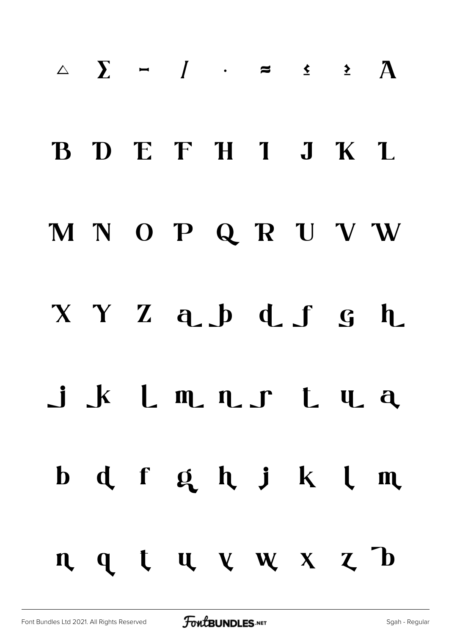# $\triangle$   $\sum$  -  $\int$  ·  $\approx$   $\leq$   $\geq$   $\triangle$ B D E F H I J K L MNOPQRUVW X Y Z a b d f g h jk lm n r t u a  $b$  d  $f$  g  $h$  j  $k$  l  $m$ n q t u v w x z b